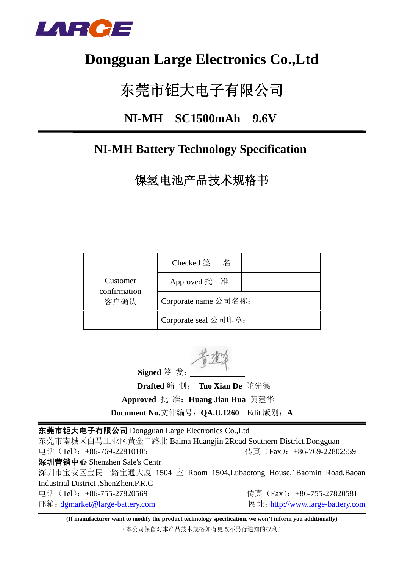

# **Dongguan Large Electronics Co.,Ltd**

# 东莞市钜大电子有限公司

## **NI-MH SC1500mAh 9.6V**

# **NI-MH Battery Technology Specification**

镍氢电池产品技术规格书

|                          | Checked 签 名          |  |
|--------------------------|----------------------|--|
| Customer<br>confirmation | Approved 批 准         |  |
| 客户确认                     | Corporate name 公司名称: |  |
|                          | Corporate seal 公司印章: |  |

**Signed** 签 发:

 **Drafted** 编 制: **Tuo Xian De** 陀先德 **Approved** 批 准:**Huang Jian Hua** 黄建华 **Document No.**文件编号:**QA.U.1260** Edit 版别:**A**

东莞市钜大电子有限公司 Dongguan Large Electronics Co.,Ltd 东莞市南城区白马工业区黄金二路北 Baima Huangjin 2Road Southern District,Dongguan 电话(Tel):+86-769-22810105 传真(Fax):+86-769-22802559 深圳营销中心 Shenzhen Sale's Centr 深圳市宝安区宝民一路宝通大厦 1504 室 Room 1504,Lubaotong House,1Baomin Road,Baoan Industrial District ,ShenZhen.P.R.C 电话(Tel): +86-755-27820569 传真(Fax): +86-755-27820581 邮箱: dgmarket@large-battery.com 网址: http://www.large-battery.com

**(If manufacturer want to modify the product technology specification, we won't inform you additionally)**

(本公司保留对本产品技术规格如有更改不另行通知的权利)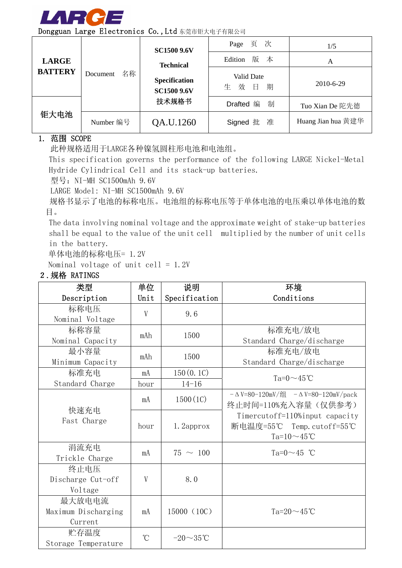

|                |                | <b>SC1500 9.6V</b>                         | 页 次<br>Page                         | 1/5                |
|----------------|----------------|--------------------------------------------|-------------------------------------|--------------------|
| <b>LARGE</b>   |                | <b>Technical</b>                           | 版 本<br>Edition                      | A                  |
| <b>BATTERY</b> | 名称<br>Document | <b>Specification</b><br><b>SC1500 9.6V</b> | Valid Date<br>效<br>期<br>$\Box$<br>生 | 2010-6-29          |
|                |                | 技术规格书                                      | 制<br>Drafted 编                      | Tuo Xian De 陀先德    |
| 钜大电池           | Number 编号      | QA.U.1260                                  | Signed 批 准                          | Huang Jian hua 黄建华 |

### 1. 范围 SCOPE

此种规格适用于LARGE各种镍氢圆柱形电池和电池组。

This specification governs the performance of the following LARGE Nickel-Metal Hydride Cylindrical Cell and its stack-up batteries.

型号: NI-MH SC1500mAh 9.6V

LARGE Model: NI-MH SC1500mAh 9.6V

规格书显示了电池的标称电压。电池组的标称电压等于单体电池的电压乘以单体电池的数 目。

The data involving nominal voltage and the approximate weight of stake-up batteries shall be equal to the value of the unit cell multiplied by the number of unit cells in the battery.

单体电池的标称电压= 1.2V

Nominal voltage of unit cell =  $1.2V$ 

### 2.规格 RATINGS

| 类型                  | 单位              | 说明             | 环境                                     |
|---------------------|-----------------|----------------|----------------------------------------|
| Description         | Unit            | Specification  | Conditions                             |
| 标称电压                | V               | 9.6            |                                        |
| Nominal Voltage     |                 |                |                                        |
| 标称容量                | mAh             | 1500           | 标准充电/放电                                |
| Nominal Capacity    |                 |                | Standard Charge/discharge              |
| 最小容量                | mAh             | 1500           | 标准充电/放电                                |
| Minimum Capacity    |                 |                | Standard Charge/discharge              |
| 标准充电                | mA              | 150(0.1C)      | Ta= $0 \sim 45$ °C                     |
| Standard Charge     | hour            | $14 - 16$      |                                        |
|                     | mA              | 1500(1C)       | $-$ ΔV=80-120mV/组 $-$ ΔV=80-120mV/pack |
| 快速充电                |                 |                | 终止时间=110%充入容量(仅供参考)                    |
| Fast Charge         |                 |                | Timercutoff=110%input capacity         |
|                     | hour            | 1. 2approx     | 断电温度=55℃ Temp.cutoff=55℃               |
|                     |                 |                | Ta= $10 \sim 45$ °C                    |
| 涓流充电                | mA              | $75 \sim 100$  | Ta= $0 \sim 45$ °C                     |
| Trickle Charge      |                 |                |                                        |
| 终止电压                |                 |                |                                        |
| Discharge Cut-off   | V               | 8.0            |                                        |
| Voltage             |                 |                |                                        |
| 最大放电电流              |                 |                |                                        |
| Maximum Discharging | mA              | 15000 (10C)    | Ta= $20 \sim 45$ °C                    |
| Current             |                 |                |                                        |
| 贮存温度                | $\rm ^{\circ}C$ | $-20\sim35$ °C |                                        |
| Storage Temperature |                 |                |                                        |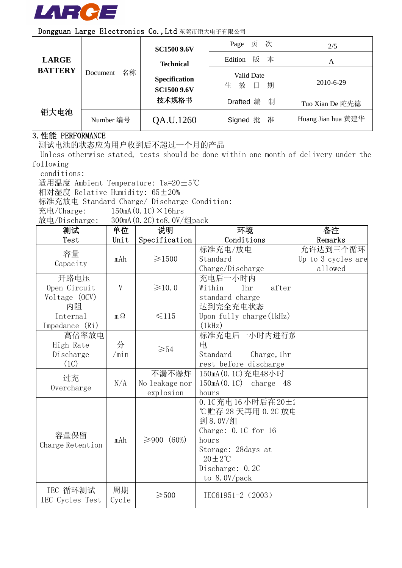

|                |                | <b>SC1500 9.6V</b>                  | Page 页 次                          | 2/5                |
|----------------|----------------|-------------------------------------|-----------------------------------|--------------------|
| <b>LARGE</b>   |                | <b>Technical</b>                    | 版 本<br>Edition                    | Α                  |
| <b>BATTERY</b> | 名称<br>Document | Specification<br><b>SC1500 9.6V</b> | Valid Date<br>效<br>期<br>- 目一<br>生 | 2010-6-29          |
|                |                | 技术规格书                               | 制<br>Drafted 编                    | Tuo Xian De 陀先德    |
| 钜大电池           | Number 编号      | QA.U.1260                           | Signed 批 准                        | Huang Jian hua 黄建华 |

### 3.性能 PERFORMANCE

测试电池的状态应为用户收到后不超过一个月的产品

Unless otherwise stated, tests should be done within one month of delivery under the following

conditions:

适用温度 Ambient Temperature: Ta=20±5℃

相对湿度 Relative Humidity: 65±20%

标准充放电 Standard Charge/ Discharge Condition:

充电/Charge:  $150mA(0.1C) \times 16hrs$ 

放电/Discharge: 300mA(0.2C)to8.0V/组pack

| 测试               | 单位        | 说明             | 环境                                 | 备注                 |
|------------------|-----------|----------------|------------------------------------|--------------------|
| Test             | Unit      | Specification  | Conditions                         | Remarks            |
| 容量               |           |                | 标准充电/放电                            | 允许达到三个循环           |
| Capacity         | mAh       | $\geq 1500$    | Standard                           | Up to 3 cycles are |
|                  |           |                | Charge/Discharge                   | allowed            |
| 开路电压             |           |                | 充电后一小时内                            |                    |
| Open Circuit     | V         | $\geq 10.0$    | Within<br>1 <sub>hr</sub><br>after |                    |
| Voltage (OCV)    |           |                | standard charge                    |                    |
| 内阻               |           |                | 达到完全充电状态                           |                    |
| Internal         | $m\Omega$ | $\leq 115$     | Upon fully charge $(lkHz)$         |                    |
| Impedance (Ri)   |           |                | (1kHz)                             |                    |
| 高倍率放电            |           |                | 标准充电后一小时内进行放                       |                    |
| High Rate        | 分         | $\geqslant 54$ | 电                                  |                    |
| Discharge        | /min      |                | Standard<br>Charge, 1hr            |                    |
| (1C)             |           |                | rest before discharge              |                    |
| 过充               |           | 不漏不爆炸          | 150mA (0.1C) 充电48小时                |                    |
| Overcharge       | N/A       | No leakage nor | $150mA(0.1C)$ charge<br>- 48       |                    |
|                  |           | explosion      | hours                              |                    |
|                  |           |                | 0.1C充电16小时后在20±                    |                    |
|                  |           |                | ℃贮存 28 天再用 0.2C 放电                 |                    |
|                  |           |                | 到 8.0V/组                           |                    |
| 容量保留             |           |                | Charge: $0.1C$ for $16$            |                    |
| Charge Retention | mAh       | ≥900 (60%)     | hours                              |                    |
|                  |           |                | Storage: 28days at                 |                    |
|                  |           |                | $20 \pm 2^{\circ}C$                |                    |
|                  |           |                | Discharge: 0.2C                    |                    |
|                  |           |                | to $8.0V/pack$                     |                    |
| IEC 循环测试         | 周期        |                |                                    |                    |
| IEC Cycles Test  | Cycle     | $\geqslant500$ | IEC61951-2 (2003)                  |                    |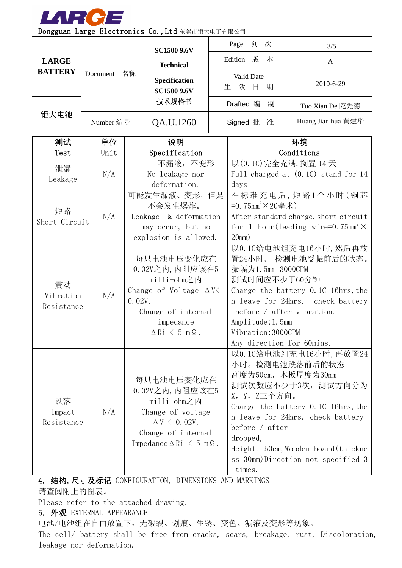

|                |  |             |                                            | <b>SC1500 9.6V</b>                          |                                                                                               | Page<br>页<br>次                   | 3/5                                 |  |
|----------------|--|-------------|--------------------------------------------|---------------------------------------------|-----------------------------------------------------------------------------------------------|----------------------------------|-------------------------------------|--|
| <b>LARGE</b>   |  |             |                                            | <b>Technical</b>                            | Edition 版 本                                                                                   |                                  | A                                   |  |
| <b>BATTERY</b> |  | Document 名称 |                                            | Specification<br><b>SC1500 9.6V</b>         |                                                                                               | Valid Date<br>效<br>生<br>日<br>期   | 2010-6-29                           |  |
|                |  |             |                                            | 技术规格书                                       |                                                                                               | Drafted 编<br>制                   | Tuo Xian De 陀先德                     |  |
| 钜大电池           |  | Number 编号   |                                            | QA.U.1260                                   |                                                                                               | Signed 批<br>准                    | Huang Jian hua 黄建华                  |  |
| 测试             |  | 单位          |                                            | 说明                                          |                                                                                               |                                  | 环境                                  |  |
| Test           |  | Unit        |                                            | Specification                               |                                                                                               |                                  | Conditions                          |  |
| 泄漏             |  |             |                                            | 不漏液, 不变形                                    |                                                                                               | 以 (0.1C) 完全充满, 搁置 14 天           |                                     |  |
| Leakage        |  | N/A         |                                            | No leakage nor                              |                                                                                               |                                  | Full charged at (0.1C) stand for 14 |  |
|                |  |             |                                            | deformation.                                |                                                                                               | days                             |                                     |  |
|                |  |             |                                            | 可能发生漏液、变形, 但是                               |                                                                                               |                                  | 在标准充电后,短路1个小时(铜芯                    |  |
| 短路             |  | N/A         | 不会发生爆炸。                                    |                                             | =0.75mm <sup>2</sup> ×20毫米)                                                                   |                                  |                                     |  |
| Short Circuit  |  |             | Leakage & deformation<br>may occur, but no |                                             | After standard charge, short circuit<br>for 1 hour (leading wire=0.75mm <sup>2</sup> $\times$ |                                  |                                     |  |
|                |  |             | explosion is allowed.                      |                                             | 20mm)                                                                                         |                                  |                                     |  |
|                |  |             |                                            |                                             |                                                                                               |                                  | 以0.1C给电池组充电16小时,然后再放                |  |
|                |  |             |                                            | 每只电池电压变化应在                                  |                                                                                               | 置24小时。 检测电池受振前后的状态。              |                                     |  |
|                |  |             | 0.02V之内, 内阻应该在5                            |                                             | 振幅为1.5mm 3000CPM                                                                              |                                  |                                     |  |
|                |  |             |                                            | milli-ohm之内                                 |                                                                                               | 测试时间应不少于60分钟                     |                                     |  |
| 震动             |  |             |                                            | Change of Voltage $\Delta V$                |                                                                                               |                                  | Charge the battery 0.1C 16hrs, the  |  |
| Vibration      |  | N/A         |                                            | 0.02V,                                      |                                                                                               | n leave for 24hrs. check battery |                                     |  |
| Resistance     |  |             |                                            | Change of internal                          |                                                                                               | before $/$ after vibration.      |                                     |  |
|                |  |             | impedance                                  |                                             |                                                                                               | Amplitude: 1.5mm                 |                                     |  |
|                |  |             | $\Delta$ Ri $\leq$ 5 m $\Omega$ .          |                                             |                                                                                               | Vibration: 3000CPM               |                                     |  |
|                |  |             |                                            |                                             |                                                                                               | Any direction for 60mins.        |                                     |  |
|                |  |             |                                            |                                             |                                                                                               |                                  | 以0.1C给电池组充电16小时,再放置24               |  |
|                |  |             |                                            |                                             |                                                                                               | 小时。检测电池跌落前后的状态                   |                                     |  |
| 跌落             |  |             |                                            | 每只电池电压变化应在                                  |                                                                                               | 高度为50cm,木板厚度为30mm                |                                     |  |
|                |  |             |                                            | 0.02V之内, 内阻应该在5                             |                                                                                               | 测试次数应不少于3次,测试方向分为                |                                     |  |
|                |  |             |                                            | milli-ohm之内                                 |                                                                                               | X,Y,Z三个方向。                       |                                     |  |
| Impact         |  | N/A         |                                            | Change of voltage                           |                                                                                               |                                  | Charge the battery 0.1C 16hrs, the  |  |
| Resistance     |  |             |                                            | $\Delta V \leq 0.02V$ ,                     |                                                                                               | before $/$ after                 | n leave for 24hrs. check battery    |  |
|                |  |             |                                            | Change of internal                          |                                                                                               | dropped,                         |                                     |  |
|                |  |             |                                            | Impedance $\Delta$ Ri $\leq$ 5 m $\Omega$ . |                                                                                               |                                  | Height: 50cm, Wooden board (thickne |  |
|                |  |             |                                            |                                             |                                                                                               |                                  | ss 30mm)Direction not specified 3   |  |
|                |  |             |                                            |                                             |                                                                                               | times.                           |                                     |  |

4. 结构,尺寸及标记 CONFIGURATION, DIMENSIONS AND MARKINGS

请查阅附上的图表。

Please refer to the attached drawing.

5. 外观 EXTERNAL APPEARANCE

电池/电池组在自由放置下,无破裂、划痕、生锈、变色、漏液及变形等现象。

The cell/ battery shall be free from cracks, scars, breakage, rust, Discoloration, leakage nor deformation.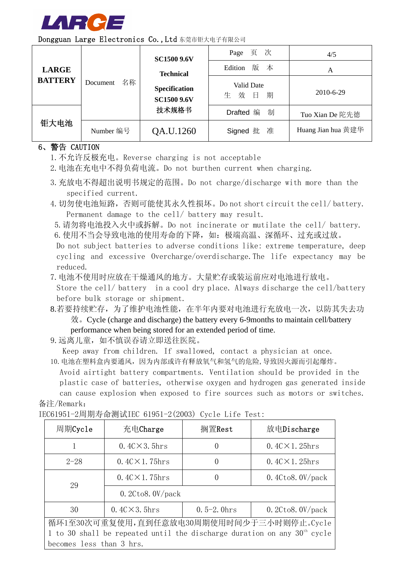

|  |  | Dongguan Large Electronics Co., Ltd 东莞市钜大电子有限公司 |
|--|--|-------------------------------------------------|
|--|--|-------------------------------------------------|

|                |                | <b>SC1500 9.6V</b>                  | Page 页 次                    | 4/5                |
|----------------|----------------|-------------------------------------|-----------------------------|--------------------|
| <b>LARGE</b>   |                | <b>Technical</b>                    | 版 本<br>Edition              | A                  |
| <b>BATTERY</b> | 名称<br>Document | Specification<br><b>SC1500 9.6V</b> | Valid Date<br>效 日<br>期<br>生 | 2010-6-29          |
|                |                | 技术规格书                               | 制<br>Drafted 编              | Tuo Xian De 陀先德    |
| 钜大电池           | Number 编号      | QA.U.1260                           | Signed 批 准                  | Huang Jian hua 黄建华 |

## 6、警告 CAUTION

- 1.不允许反极充电。Reverse charging is not acceptable
- 2.电池在充电中不得负荷电流。Do not burthen current when charging.
- 3.充放电不得超出说明书规定的范围。Do not charge/discharge with more than the specified current.
- 4.切勿使电池短路,否则可能使其永久性损坏。Do not short circuit the cell/ battery. Permanent damage to the cell/ battery may result.
- 5.请勿将电池投入火中或拆解。Do not incinerate or mutilate the cell/ battery. 6. 使用不当会导致电池的使用寿命的下降,如:极端高温、深循环、过充或过放。

Do not subject batteries to adverse conditions like: extreme temperature, deep cycling and excessive Overcharge/overdischarge.The life expectancy may be reduced.

7.电池不使用时应放在干燥通风的地方。大量贮存或装运前应对电池进行放电。

Store the cell/ battery in a cool dry place. Always discharge the cell/battery before bulk storage or shipment.

- 8.若要持续贮存,为了维护电池性能,在半年内要对电池进行充放电一次,以防其失去功 效。Cycle (charge and discharge) the battery every 6-9months to maintain cell/battery performance when being stored for an extended period of time.
- 9. 远离儿童, 如不慎误吞请立即送往医院。

Keep away from children. If swallowed, contact a physician at once.

10.电池在塑料盒内要通风,因为内部或许有释放氧气和氢气的危险,导致因火源而引起爆炸。

Avoid airtight battery compartments. Ventilation should be provided in the plastic case of batteries, otherwise oxygen and hydrogen gas generated inside can cause explosion when exposed to fire sources such as motors or switches. 备注/Remark:

| IEC61951-2周期寿命测试IEC 61951-2(2003) Cycle Life Test: |  |  |
|----------------------------------------------------|--|--|

| 周期Cycle                  | 充电Charge                                                                   | 搁置Rest           | 放电Discharge                               |  |  |
|--------------------------|----------------------------------------------------------------------------|------------------|-------------------------------------------|--|--|
|                          | $0.4C \times 3.5$ hrs                                                      | $\left( \right)$ | $0.4C \times 1.25$ hrs                    |  |  |
| $2 - 28$                 | $0.4C \times 1.75$ hrs                                                     | $\left( \right)$ | $0.4C \times 1.25$ hrs                    |  |  |
| 29                       | $0.4C \times 1.75$ hrs                                                     | $\left( \right)$ | $0.4C$ to8. $0V$ /pack                    |  |  |
|                          | $0.2C$ to $8.0V$ pack                                                      |                  |                                           |  |  |
| 30                       | $0.4C \times 3.5$ hrs                                                      | $0.5-2.0$ hrs    | $0.2C$ to8.0V/pack                        |  |  |
|                          |                                                                            |                  | 循环1至30次可重复使用,直到任意放电30周期使用时间少于三小时则停止。Cycle |  |  |
|                          | 1 to 30 shall be repeated until the discharge duration on any $30th$ cycle |                  |                                           |  |  |
| becomes less than 3 hrs. |                                                                            |                  |                                           |  |  |